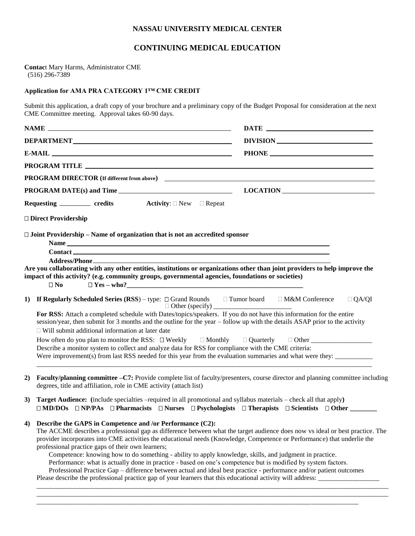## **NASSAU UNIVERSITY MEDICAL CENTER**

## **CONTINUING MEDICAL EDUCATION**

**Contac**t Mary Harms, Administrator CME (516) 296-7389

## **Application for AMA PRA CATEGORY 1™ CME CREDIT**

Submit this application, a draft copy of your brochure and a preliminary copy of the Budget Proposal for consideration at the next CME Committee meeting. Approval takes 60-90 days.

|                                                                                                                                                                                                                                                                                                                                                                                                                                                                                                                                                                                                                                                                   | DEPARTMENT<br>$E-MAIL$ $\qquad \qquad$                                                                                                                                                                  |                                            | DIVISION                                                                                                                                                                                                                                                       |  |  |
|-------------------------------------------------------------------------------------------------------------------------------------------------------------------------------------------------------------------------------------------------------------------------------------------------------------------------------------------------------------------------------------------------------------------------------------------------------------------------------------------------------------------------------------------------------------------------------------------------------------------------------------------------------------------|---------------------------------------------------------------------------------------------------------------------------------------------------------------------------------------------------------|--------------------------------------------|----------------------------------------------------------------------------------------------------------------------------------------------------------------------------------------------------------------------------------------------------------------|--|--|
|                                                                                                                                                                                                                                                                                                                                                                                                                                                                                                                                                                                                                                                                   |                                                                                                                                                                                                         |                                            |                                                                                                                                                                                                                                                                |  |  |
|                                                                                                                                                                                                                                                                                                                                                                                                                                                                                                                                                                                                                                                                   |                                                                                                                                                                                                         |                                            |                                                                                                                                                                                                                                                                |  |  |
|                                                                                                                                                                                                                                                                                                                                                                                                                                                                                                                                                                                                                                                                   |                                                                                                                                                                                                         |                                            |                                                                                                                                                                                                                                                                |  |  |
|                                                                                                                                                                                                                                                                                                                                                                                                                                                                                                                                                                                                                                                                   |                                                                                                                                                                                                         |                                            |                                                                                                                                                                                                                                                                |  |  |
|                                                                                                                                                                                                                                                                                                                                                                                                                                                                                                                                                                                                                                                                   | Requesting ___________ credits                                                                                                                                                                          | <b>Activity</b> : $\Box$ New $\Box$ Repeat |                                                                                                                                                                                                                                                                |  |  |
|                                                                                                                                                                                                                                                                                                                                                                                                                                                                                                                                                                                                                                                                   | □ Direct Providership                                                                                                                                                                                   |                                            |                                                                                                                                                                                                                                                                |  |  |
|                                                                                                                                                                                                                                                                                                                                                                                                                                                                                                                                                                                                                                                                   | $\Box$ Joint Providership – Name of organization that is not an accredited sponsor<br>impact of this activity? (e.g. community groups, governmental agencies, foundations or societies)<br>$\square$ No |                                            | Are you collaborating with any other entities, institutions or organizations other than joint providers to help improve the                                                                                                                                    |  |  |
| 1)                                                                                                                                                                                                                                                                                                                                                                                                                                                                                                                                                                                                                                                                |                                                                                                                                                                                                         |                                            | $\Box$ QA/QI                                                                                                                                                                                                                                                   |  |  |
| For RSS: Attach a completed schedule with Dates/topics/speakers. If you do not have this information for the entire<br>session/year, then submit for 3 months and the outline for the year - follow up with the details ASAP prior to the activity<br>$\Box$ Will submit additional information at later date<br>How often do you plan to monitor the RSS: $\square$ Weekly $\square$ Monthly $\square$ Quarterly $\square$ Other<br>Describe a monitor system to collect and analyze data for RSS for compliance with the CME criteria:<br>Were improvement(s) from last RSS needed for this year from the evaluation summaries and what were they: ____________ |                                                                                                                                                                                                         |                                            |                                                                                                                                                                                                                                                                |  |  |
| 2)                                                                                                                                                                                                                                                                                                                                                                                                                                                                                                                                                                                                                                                                | degrees, title and affiliation, role in CME activity (attach list)                                                                                                                                      |                                            | Faculty/planning committee -C7: Provide complete list of faculty/presenters, course director and planning committee including                                                                                                                                  |  |  |
| 3)                                                                                                                                                                                                                                                                                                                                                                                                                                                                                                                                                                                                                                                                |                                                                                                                                                                                                         |                                            | <b>Target Audience:</b> (include specialties -required in all promotional and syllabus materials - check all that apply)<br>$\Box$ MD/DOs $\Box$ NP/PAs $\Box$ Pharmacists $\Box$ Nurses $\Box$ Psychologists $\Box$ Therapists $\Box$ Scientists $\Box$ Other |  |  |
|                                                                                                                                                                                                                                                                                                                                                                                                                                                                                                                                                                                                                                                                   | 4) Describe the GAPS in Competence and /or Performance (C2):                                                                                                                                            |                                            |                                                                                                                                                                                                                                                                |  |  |

The ACCME describes a professional gap as difference between what the target audience does now vs ideal or best practice. The provider incorporates into CME activities the educational needs (Knowledge, Competence or Performance) that underlie the professional practice gaps of their own learners;

\_\_\_\_\_\_\_\_\_\_\_\_\_\_\_\_\_\_\_\_\_\_\_\_\_\_\_\_\_\_\_\_\_\_\_\_\_\_\_\_\_\_\_\_\_\_\_\_\_\_\_\_\_\_\_\_\_\_\_\_\_\_\_\_\_\_\_\_\_\_\_\_\_\_\_\_\_\_\_\_\_\_\_\_\_\_\_\_\_\_\_\_\_\_\_\_\_\_\_\_\_\_\_\_ \_\_\_\_\_\_\_\_\_\_\_\_\_\_\_\_\_\_\_\_\_\_\_\_\_\_\_\_\_\_\_\_\_\_\_\_\_\_\_\_\_\_\_\_\_\_\_\_\_\_\_\_\_\_\_\_\_\_\_\_\_\_\_\_\_\_\_\_\_\_\_\_\_\_\_\_\_\_\_\_\_\_\_\_\_\_\_\_\_\_\_\_\_\_\_\_\_\_\_\_\_\_\_\_

Competence: knowing how to do something - ability to apply knowledge, skills, and judgment in practice.

Performance: what is actually done in practice - based on one's competence but is modified by system factors.

Professional Practice Gap – difference between actual and ideal best practice - performance and/or patient outcomes Please describe the professional practice gap of your learners that this educational activity will address:

\_\_\_\_\_\_\_\_\_\_\_\_\_\_\_\_\_\_\_\_\_\_\_\_\_\_\_\_\_\_\_\_\_\_\_\_\_\_\_\_\_\_\_\_\_\_\_\_\_\_\_\_\_\_\_\_\_\_\_\_\_\_\_\_\_\_\_\_\_\_\_\_\_\_\_\_\_\_\_\_\_\_\_\_\_\_\_\_\_\_\_\_\_\_\_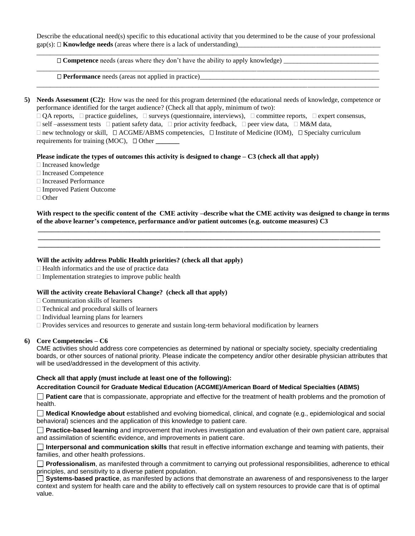Describe the educational need(s) specific to this educational activity that you determined to be the cause of your professional gap(s):  $\Box$  **Knowledge needs** (areas where there is a lack of understanding) \_\_\_\_\_\_\_\_\_\_\_\_\_\_\_\_\_\_\_\_\_\_\_\_\_\_\_\_\_\_\_\_\_\_\_\_\_\_\_\_\_\_\_\_\_\_\_\_\_\_\_\_\_\_\_\_\_\_\_\_\_\_\_\_\_\_\_\_\_\_\_\_\_\_\_\_\_\_\_\_\_\_\_\_\_\_\_\_\_\_\_\_\_\_\_\_\_\_\_\_\_

\_\_\_\_\_\_\_\_\_\_\_\_\_\_\_\_\_\_\_\_\_\_\_\_\_\_\_\_\_\_\_\_\_\_\_\_\_\_\_\_\_\_\_\_\_\_\_\_\_\_\_\_\_\_\_\_\_\_\_\_\_\_\_\_\_\_\_\_\_\_\_\_\_\_\_\_\_\_\_\_\_\_\_\_\_\_\_\_\_\_\_\_\_\_\_\_\_\_\_\_\_

\_\_\_\_\_\_\_\_\_\_\_\_\_\_\_\_\_\_\_\_\_\_\_\_\_\_\_\_\_\_\_\_\_\_\_\_\_\_\_\_\_\_\_\_\_\_\_\_\_\_\_\_\_\_\_\_\_\_\_\_\_\_\_\_\_\_\_\_\_\_\_\_\_\_\_\_\_\_\_\_\_\_\_\_\_\_\_\_\_\_\_\_\_\_\_\_\_\_\_\_\_

 **Competence** needs (areas where they don't have the ability to apply knowledge) \_\_\_\_\_\_\_\_\_\_\_\_\_\_\_\_\_\_\_\_\_\_\_\_\_\_\_\_

 $\Box$  **Performance** needs (areas not applied in practice)

**5) Needs Assessment (C2):** How was the need for this program determined (the educational needs of knowledge, competence or performance identified for the target audience? (Check all that apply, minimum of two):

 $\Box$  QA reports,  $\Box$  practice guidelines,  $\Box$  surveys (questionnaire, interviews),  $\Box$  committee reports,  $\Box$  expert consensus,

 $\Box$  self –assessment tests  $\Box$  patient safety data,  $\Box$  prior activity feedback,  $\Box$  peer view data,  $\Box$  M&M data,

 $\Box$  new technology or skill,  $\Box$  ACGME/ABMS competencies,  $\Box$  Institute of Medicine (IOM),  $\Box$  Specialty curriculum requirements for training (MOC),  $\Box$  Other

**Please indicate the types of outcomes this activity is designed to change – C3 (check all that apply)**

- □ Increased knowledge
- Increased Competence
- Increased Performance
- □ Improved Patient Outcome
- □ Other

**With respect to the specific content of the CME activity –describe what the CME activity was designed to change in terms of the above learner's competence, performance and/or patient outcomes (e.g. outcome measures) C3**

 **\_\_\_\_\_\_\_\_\_\_\_\_\_\_\_\_\_\_\_\_\_\_\_\_\_\_\_\_\_\_\_\_\_\_\_\_\_\_\_\_\_\_\_\_\_\_\_\_\_\_\_\_\_\_\_\_\_\_\_\_\_\_\_\_\_\_\_\_\_\_\_\_\_\_\_\_\_\_\_\_\_\_\_\_\_\_\_\_\_\_\_\_\_\_\_\_\_\_\_\_\_ \_\_\_\_\_\_\_\_\_\_\_\_\_\_\_\_\_\_\_\_\_\_\_\_\_\_\_\_\_\_\_\_\_\_\_\_\_\_\_\_\_\_\_\_\_\_\_\_\_\_\_\_\_\_\_\_\_\_\_\_\_\_\_\_\_\_\_\_\_\_\_\_\_\_\_\_\_\_\_\_\_\_\_\_\_\_\_\_\_\_\_\_\_\_\_\_\_\_\_\_\_ \_\_\_\_\_\_\_\_\_\_\_\_\_\_\_\_\_\_\_\_\_\_\_\_\_\_\_\_\_\_\_\_\_\_\_\_\_\_\_\_\_\_\_\_\_\_\_\_\_\_\_\_\_\_\_\_\_\_\_\_\_\_\_\_\_\_\_\_\_\_\_\_\_\_\_\_\_\_\_\_\_\_\_\_\_\_\_\_\_\_\_\_\_\_\_\_\_\_\_\_\_**

## **Will the activity address Public Health priorities? (check all that apply)**

- $\Box$  Health informatics and the use of practice data
- $\Box$  Implementation strategies to improve public health

## **Will the activity create Behavioral Change? (check all that apply)**

 $\Box$  Communication skills of learners

- $\Box$  Technical and procedural skills of learners
- $\Box$  Individual learning plans for learners

 $\Box$  Provides services and resources to generate and sustain long-term behavioral modification by learners

## **6) Core Competencies – C6**

CME activities should address core competencies as determined by national or specialty society, specialty credentialing boards, or other sources of national priority. Please indicate the competency and/or other desirable physician attributes that will be used/addressed in the development of this activity.

## **Check all that apply (must include at least one of the following):**

## **Accreditation Council for Graduate Medical Education (ACGME)/American Board of Medical Specialties (ABMS)**

**Patient care** that is compassionate, appropriate and effective for the treatment of health problems and the promotion of health.

**Medical Knowledge about** established and evolving biomedical, clinical, and cognate (e.g., epidemiological and social behavioral) sciences and the application of this knowledge to patient care.

**Practice-based learning** and improvement that involves investigation and evaluation of their own patient care, appraisal and assimilation of scientific evidence, and improvements in patient care.

**Interpersonal and communication skills** that result in effective information exchange and teaming with patients, their families, and other health professions.

**Professionalism**, as manifested through a commitment to carrying out professional responsibilities, adherence to ethical principles, and sensitivity to a diverse patient population.

**Systems-based practice**, as manifested by actions that demonstrate an awareness of and responsiveness to the larger context and system for health care and the ability to effectively call on system resources to provide care that is of optimal value.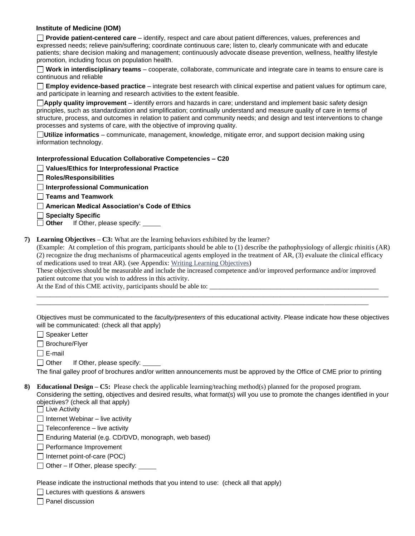## **Institute of Medicine (IOM)**

**Provide patient-centered care** – identify, respect and care about patient differences, values, preferences and expressed needs; relieve pain/suffering; coordinate continuous care; listen to, clearly communicate with and educate patients; share decision making and management; continuously advocate disease prevention, wellness, healthy lifestyle promotion, including focus on population health.

**Work in interdisciplinary teams** – cooperate, collaborate, communicate and integrate care in teams to ensure care is continuous and reliable

**Employ evidence-based practice** – integrate best research with clinical expertise and patient values for optimum care, and participate in learning and research activities to the extent feasible.

**Apply quality improvement** – identify errors and hazards in care; understand and implement basic safety design principles, such as standardization and simplification; continually understand and measure quality of care in terms of structure, process, and outcomes in relation to patient and community needs; and design and test interventions to change processes and systems of care, with the objective of improving quality.

**Utilize informatics** – communicate, management, knowledge, mitigate error, and support decision making using information technology.

#### **Interprofessional Education Collaborative Competencies – C20**

#### **Values/Ethics for Interprofessional Practice**

**Roles/Responsibilities**

**Interprofessional Communication**

**Teams and Teamwork**

**American Medical Association's Code of Ethics**

**Specialty Specific**

**Other** If Other, please specify:

**7) Learning Objectives – C3:** What are the learning behaviors exhibited by the learner?

(Example: At completion of this program, participants should be able to (1) describe the pathophysiology of allergic rhinitis (AR) (2) recognize the drug mechanisms of pharmaceutical agents employed in the treatment of AR, (3) evaluate the clinical efficacy of medications used to treat AR). (see Appendix[: Writing Learning Objectives\)](http://www.numc.edu/wp-content/uploads/2018/02/CME-Appendice-writing-learning-objectives.pdf)

These objectives should be measurable and include the increased competence and/or improved performance and/or improved patient outcome that you wish to address in this activity.

At the End of this CME activity, participants should be able to:

Objectives must be communicated to the *faculty/presenters* of this educational activity. Please indicate how these objectives will be communicated: (check all that apply)

\_\_\_\_\_\_\_\_\_\_\_\_\_\_\_\_\_\_\_\_\_\_\_\_\_\_\_\_\_\_\_\_\_\_\_\_\_\_\_\_\_\_\_\_\_\_\_\_\_\_\_\_\_\_\_\_\_\_\_\_\_\_\_\_\_\_\_\_\_\_\_\_\_\_\_\_\_\_\_\_\_\_\_\_\_\_\_\_\_\_\_\_\_\_\_\_\_\_\_\_\_\_\_\_  $\overline{a_1}$  ,  $\overline{a_2}$  ,  $\overline{a_3}$  ,  $\overline{a_4}$  ,  $\overline{a_5}$  ,  $\overline{a_6}$  ,  $\overline{a_7}$  ,  $\overline{a_8}$  ,  $\overline{a_9}$  ,  $\overline{a_9}$  ,  $\overline{a_9}$  ,  $\overline{a_9}$  ,  $\overline{a_9}$  ,  $\overline{a_9}$  ,  $\overline{a_9}$  ,  $\overline{a_9}$  ,  $\overline{a_9}$  ,

□ Speaker Letter

□ Brochure/Flyer

 $\square$  E-mail

 $\Box$  Other If Other, please specify:

The final galley proof of brochures and/or written announcements must be approved by the Office of CME prior to printing

**8) Educational Design – C5:** Please check the applicable learning/teaching method(s) planned for the proposed program. Considering the setting, objectives and desired results, what format(s) will you use to promote the changes identified in your objectives? (check all that apply)

 $\Box$  Live Activity

 $\Box$  Internet Webinar – live activity

 $\Box$  Teleconference – live activity

 $\Box$  Enduring Material (e.g. CD/DVD, monograph, web based)

Performance Improvement

 $\Box$  Internet point-of-care (POC)

 $\Box$  Other – If Other, please specify:  $\Box$ 

Please indicate the instructional methods that you intend to use: (check all that apply)

 $\Box$  Lectures with questions & answers

 $\Box$  Panel discussion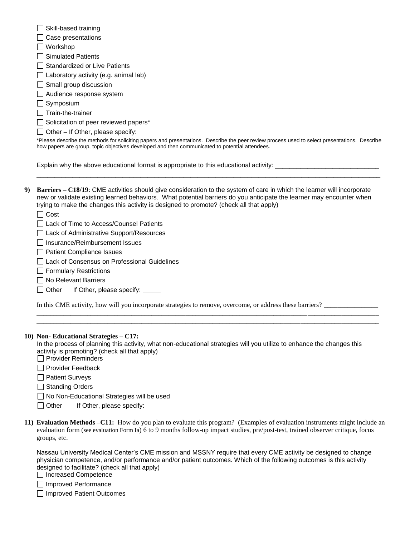| Skill-based training                                                                                                                                                                                                                            |
|-------------------------------------------------------------------------------------------------------------------------------------------------------------------------------------------------------------------------------------------------|
| Case presentations                                                                                                                                                                                                                              |
| Workshop                                                                                                                                                                                                                                        |
| <b>Simulated Patients</b>                                                                                                                                                                                                                       |
| <b>Standardized or Live Patients</b>                                                                                                                                                                                                            |
| Laboratory activity (e.g. animal lab)                                                                                                                                                                                                           |
| $\Box$ Small group discussion                                                                                                                                                                                                                   |
| Audience response system                                                                                                                                                                                                                        |
| $\Box$ Symposium                                                                                                                                                                                                                                |
| Train-the-trainer                                                                                                                                                                                                                               |
| Solicitation of peer reviewed papers*                                                                                                                                                                                                           |
| $\Box$ Other – If Other, please specify:                                                                                                                                                                                                        |
| *Please describe the methods for soliciting papers and presentations. Describe the peer review process used to select presentations. Describe<br>how papers are group, topic objectives developed and then communicated to potential attendees. |
|                                                                                                                                                                                                                                                 |

Explain why the above educational format is appropriate to this educational activity:

**9) Barriers – C18/19**: CME activities should give consideration to the system of care in which the learner will incorporate new or validate existing learned behaviors. What potential barriers do you anticipate the learner may encounter when trying to make the changes this activity is designed to promote? (check all that apply)

\_\_\_\_\_\_\_\_\_\_\_\_\_\_\_\_\_\_\_\_\_\_\_\_\_\_\_\_\_\_\_\_\_\_\_\_\_\_\_\_\_\_\_\_\_\_\_\_\_\_\_\_\_\_\_\_\_\_\_\_\_\_\_\_\_\_\_\_\_\_\_\_\_\_\_\_\_\_\_\_\_\_\_\_\_\_\_\_\_\_\_\_\_\_\_\_

 $\Box$  Cost

Lack of Time to Access/Counsel Patients

Lack of Administrative Support/Resources

□ Insurance/Reimbursement Issues

Patient Compliance Issues

□ Lack of Consensus on Professional Guidelines

Formulary Restrictions

 $\Box$  No Relevant Barriers

□ Other If Other, please specify:

In this CME activity, how will you incorporate strategies to remove, overcome, or address these barriers?

#### **10) Non- Educational Strategies – C17:**

 In the process of planning this activity, what non-educational strategies will you utilize to enhance the changes this activity is promoting? (check all that apply)

\_\_\_\_\_\_\_\_\_\_\_\_\_\_\_\_\_\_\_\_\_\_\_\_\_\_\_\_\_\_\_\_\_\_\_\_\_\_\_\_\_\_\_\_\_\_\_\_\_\_\_\_\_\_\_\_\_\_\_\_\_\_\_\_\_\_\_\_\_\_\_\_\_\_\_\_\_\_\_\_\_\_\_\_\_\_\_\_\_\_\_\_\_\_\_\_\_\_\_\_\_ \_\_\_\_\_\_\_\_\_\_\_\_\_\_\_\_\_\_\_\_\_\_\_\_\_\_\_\_\_\_\_\_\_\_\_\_\_\_\_\_\_\_\_\_\_\_\_\_\_\_\_\_\_\_\_\_\_\_\_\_\_\_\_\_\_\_\_\_\_\_\_\_\_\_\_\_\_\_\_\_\_\_\_\_\_\_\_\_\_\_\_\_\_\_\_\_\_\_\_\_\_

 $\Box$  Provider Reminders

Provider Feedback

□ Patient Surveys

□ Standing Orders

□ No Non-Educational Strategies will be used

□ Other If Other, please specify: <u>□ </u>

| 11) Evaluation Methods -C11: How do you plan to evaluate this program? (Examples of evaluation instruments might include an      |
|----------------------------------------------------------------------------------------------------------------------------------|
| evaluation form (see evaluation Form Ia) 6 to 9 months follow-up impact studies, pre/post-test, trained observer critique, focus |
| groups, etc.                                                                                                                     |

Nassau University Medical Center's CME mission and MSSNY require that every CME activity be designed to change physician competence, and/or performance and/or patient outcomes. Which of the following outcomes is this activity designed to facilitate? (check all that apply)

□ Increased Competence

Improved Performance

□ Improved Patient Outcomes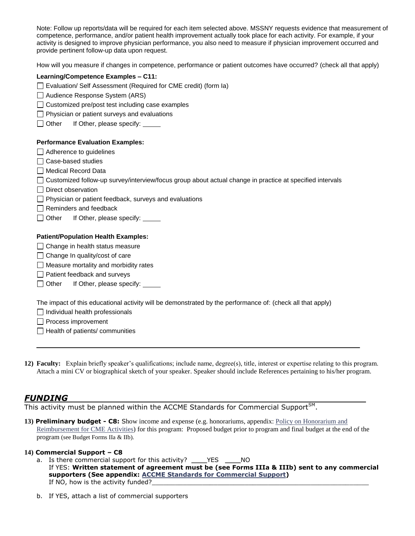Note: Follow up reports/data will be required for each item selected above. MSSNY requests evidence that measurement of competence, performance, and/or patient health improvement actually took place for each activity. For example, if your activity is designed to improve physician performance, you also need to measure if physician improvement occurred and provide pertinent follow-up data upon request.

How will you measure if changes in competence, performance or patient outcomes have occurred? (check all that apply)

| Learning/Competence Examples - C11: |
|-------------------------------------|
|-------------------------------------|

Evaluation/ Self Assessment (Required for CME credit) (form Ia)

- □ Audience Response System (ARS)
- $\Box$  Customized pre/post test including case examples
- $\Box$  Physician or patient surveys and evaluations
- $\Box$  Other If Other, please specify:

#### **Performance Evaluation Examples:**

- □ Adherence to guidelines
- $\Box$  Case-based studies
- □ Medical Record Data

- $\Box$  Direct observation
- $\Box$  Physician or patient feedback, surveys and evaluations
- $\Box$  Reminders and feedback
- □ Other If Other, please specify: \_\_\_\_\_

#### **Patient/Population Health Examples:**

- $\Box$  Change in health status measure
- $\Box$  Change In quality/cost of care
- $\Box$  Measure mortality and morbidity rates
- □ Patient feedback and surveys
- Other If Other, please specify:

The impact of this educational activity will be demonstrated by the performance of: (check all that apply)

 $\Box$  Individual health professionals

Process improvement

 $\Box$  Health of patients/ communities

**12) Faculty:** Explain briefly speaker's qualifications; include name, degree(s), title, interest or expertise relating to this program. Attach a mini CV or biographical sketch of your speaker. Speaker should include References pertaining to his/her program.

## *FUNDING*

This activity must be planned within the ACCME Standards for Commercial Support $^{\text{SM}}$ .

**13) [Preliminary budget](http://www.mssny.org/mssnycfm/mssnyeditor/File/2009/Pratice_Resources/CME/012209/32._Miscellaneous_Budget_12.07.doc) - C8:** Show income and expense (e.g. honorariums, appendix[: Policy on Honorarium and](http://www.numc.edu/wp-content/uploads/2018/02/CME-Appendix-Policy-on-honorarium-reimbursement.pdf)  [Reimbursement for CME Activities\)](http://www.numc.edu/wp-content/uploads/2018/02/CME-Appendix-Policy-on-honorarium-reimbursement.pdf) for this program: Proposed budget prior to program and final budget at the end of the program (see Budget Forms IIa & IIb).

#### **14) Commercial Support – C8**

- a. Is there [commercial support](http://www.mssny.org/mssnycfm/mssnyeditor/File/2009/Pratice_Resources/CME/012209/The_Standards_for_Commercial_Support.doc) for this activity? \_\_\_\_YES \_\_\_\_NO If YES: **Written statement of agreement must be (see Forms IIIa & IIIb) sent to any commercial supporters (See appendix: [ACCME Standards for Commercial Support\)](http://www.numc.edu/wp-content/uploads/2018/02/CME-Appendice-ACCME-standards-for-commertial-support.pdf)** If NO, how is the activity funded?
- b. If YES, attach a list of commercial supporters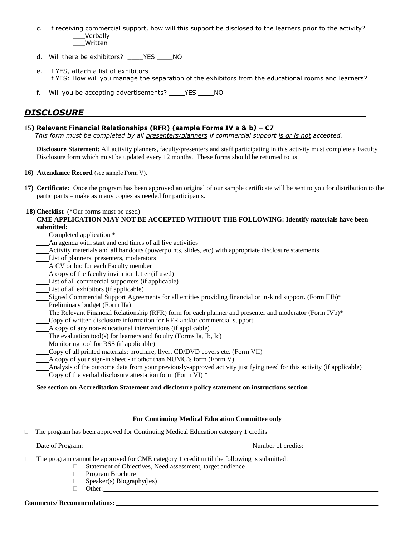- c. If receiving commercial support, how will this support be disclosed to the learners prior to the activity? \_\_\_Verbally \_\_\_Written
- d. Will there be [exhibitors?](http://www.mssny.org/mssnycfm/mssnyeditor/File/2009/Pratice_Resources/CME/012209/The_Standards_for_Commercial_Support.doc) \_\_\_\_YES \_\_\_\_NO
- e. If YES, attach a list of exhibitors If YES: How will you manage the separation of the exhibitors from the educational rooms and learners?
- f. Will you be accepting advertisements? \_\_\_\_YES \_\_\_\_NO

# *DISCLOSURE*

## **15) Relevant Financial Relationships (RFR) (sample Forms IV a & b***) –* **C7**

 *This form must be completed by all presenters/planners if commercial support is or is not accepted.*

**Disclosure Statement**: All activity planners, faculty/presenters and staff participating in this activity must complete a Faculty Disclosure form which must be updated every 12 months. These forms should be returned to us

**16) Attendance Record** (see sample Form V).

**17) Certificate:** Once the program has been approved an original of our sample certificate will be sent to you for distribution to the participants – make as many copies as needed for participants.

## **18) Checklist** (\*Our forms must be used)

**CME APPLICATION MAY NOT BE ACCEPTED WITHOUT THE FOLLOWING: Identify materials have been submitted:**

- Completed application \*
- An agenda with start and end times of all live activities
- Activity materials and all handouts (powerpoints, slides, etc) with appropriate disclosure statements
- List of planners, presenters, moderators
- A CV or bio for each Faculty member
- A copy of the faculty invitation letter (if used)
- List of all commercial supporters (if applicable)
- List of all exhibitors (if applicable)
- Signed [Commercial Support Agreements](http://www.mssny.org/mssnycfm/mssnyeditor/File/2009/Pratice_Resources/CME/012209/24._Financial_Comm_Supp_Agreement_2007.doc) for all entities providing financial or in-kind support. (Form IIIb)\*
- Preliminary budget (Form IIa)
- The Relevant Financial Relationship (RFR) form for each planner and presenter and moderator (Form IVb)\*
- Copy of written disclosure information for RFR and/or commercial support
- A copy of any non-educational interventions (if applicable)
- The evaluation tool(s) for learners and faculty (Forms Ia, Ib, Ic)
- Monitoring tool for RSS (if applicable)
- Copy of all printed materials: brochure, flyer, CD/DVD covers etc. (Form VII)
- A copy of your sign-in sheet if other than NUMC's form (Form V)

Analysis of the outcome data from your previously-approved activity justifying need for this activity (if applicable)

Copy of the verbal disclosure attestation form (Form VI) \*

## **See section on Accreditation Statement and disclosure policy statement on instructions section**

|    | <b>For Continuing Medical Education Committee only</b>                                                                                                                                                   |  |  |  |  |
|----|----------------------------------------------------------------------------------------------------------------------------------------------------------------------------------------------------------|--|--|--|--|
| П. | The program has been approved for Continuing Medical Education category 1 credits                                                                                                                        |  |  |  |  |
|    |                                                                                                                                                                                                          |  |  |  |  |
|    | The program cannot be approved for CME category 1 credit until the following is submitted:<br>Statement of Objectives, Need assessment, target audience<br>Program Brochure<br>Speaker(s) Biography(ies) |  |  |  |  |

**Comments/ Recommendations:**